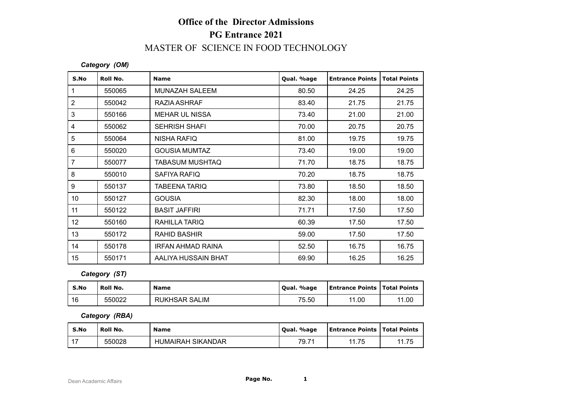# **Office of the Director Admissions PG Entrance 2021** MASTER OF SCIENCE IN FOOD TECHNOLOGY

#### *Category (OM)*

|                                      |                | <b>Office of the Director Admissions</b> |            |                        |                     |  |  |
|--------------------------------------|----------------|------------------------------------------|------------|------------------------|---------------------|--|--|
|                                      |                | <b>PG Entrance 2021</b>                  |            |                        |                     |  |  |
| MASTER OF SCIENCE IN FOOD TECHNOLOGY |                |                                          |            |                        |                     |  |  |
|                                      | Category (OM)  |                                          |            |                        |                     |  |  |
| S.No                                 | Roll No.       | <b>Name</b>                              | Qual. %age | <b>Entrance Points</b> | <b>Total Points</b> |  |  |
| $\mathbf{1}$                         | 550065         | <b>MUNAZAH SALEEM</b>                    | 80.50      | 24.25                  | 24.25               |  |  |
| $\sqrt{2}$                           | 550042         | RAZIA ASHRAF                             | 83.40      | 21.75                  | 21.75               |  |  |
| $\mathfrak{3}$                       | 550166         | <b>MEHAR UL NISSA</b>                    | 73.40      | 21.00                  | 21.00               |  |  |
| $\overline{4}$                       | 550062         | <b>SEHRISH SHAFI</b>                     | 70.00      | 20.75                  | 20.75               |  |  |
| $\sqrt{5}$                           | 550064         | <b>NISHA RAFIQ</b>                       | 81.00      | 19.75                  | 19.75               |  |  |
| $\,6\,$                              | 550020         | <b>GOUSIA MUMTAZ</b>                     | 73.40      | 19.00                  | 19.00               |  |  |
| $\overline{7}$                       | 550077         | <b>TABASUM MUSHTAQ</b>                   | 71.70      | 18.75                  | 18.75               |  |  |
| 8                                    | 550010         | <b>SAFIYA RAFIQ</b>                      | 70.20      | 18.75                  | 18.75               |  |  |
| $\boldsymbol{9}$                     | 550137         | <b>TABEENA TARIQ</b>                     | 73.80      | 18.50                  | 18.50               |  |  |
| 10                                   | 550127         | <b>GOUSIA</b>                            | 82.30      | 18.00                  | 18.00               |  |  |
| 11                                   | 550122         | <b>BASIT JAFFIRI</b>                     | 71.71      | 17.50                  | 17.50               |  |  |
| 12                                   | 550160         | RAHILLA TARIQ                            | 60.39      | 17.50                  | 17.50               |  |  |
| 13                                   | 550172         | <b>RAHID BASHIR</b>                      | 59.00      | 17.50                  | 17.50               |  |  |
| 14                                   | 550178         | <b>IRFAN AHMAD RAINA</b>                 | 52.50      | 16.75                  | 16.75               |  |  |
| 15                                   | 550171         | AALIYA HUSSAIN BHAT                      | 69.90      | 16.25                  | 16.25               |  |  |
|                                      | Category (ST)  |                                          |            |                        |                     |  |  |
| S.No                                 | Roll No.       | Name                                     | Qual. %age | <b>Entrance Points</b> | <b>Total Points</b> |  |  |
| 16                                   | 550022         | <b>RUKHSAR SALIM</b>                     | 75.50      | 11.00                  | 11.00               |  |  |
|                                      | Category (RBA) |                                          |            |                        |                     |  |  |
| S.No                                 | Roll No.       | <b>Name</b>                              | Qual. %age | <b>Entrance Points</b> | <b>Total Points</b> |  |  |
| 17                                   | 550028         | <b>HUMAIRAH SIKANDAR</b>                 | 79.71      | 11.75                  | 11.75               |  |  |

### *Category (ST)*

| 14   | 550178         | <b>IRFAN AHMAD RAINA</b> | 52.50      | 16.75                                 | 16.75 |
|------|----------------|--------------------------|------------|---------------------------------------|-------|
| 15   | 550171         | AALIYA HUSSAIN BHAT      | 69.90      | 16.25                                 | 16.25 |
|      | Category (ST)  |                          |            |                                       |       |
| S.No | Roll No.       | <b>Name</b>              | Qual. %age | <b>Entrance Points   Total Points</b> |       |
| 16   | 550022         | <b>RUKHSAR SALIM</b>     | 75.50      | 11.00                                 | 11.00 |
|      | Category (RBA) |                          |            |                                       |       |
| S.No | Roll No.       | <b>Name</b>              | Qual. %age | <b>Entrance Points   Total Points</b> |       |
| 17   | 550028         | <b>HUMAIRAH SIKANDAR</b> | 79.71      | 11.75                                 | 11.75 |

#### *Category (RBA)*

| S.No          | Roll No. | <b>Name</b>              | Qual. %age | <b>Entrance Points   Total Points</b> |       |
|---------------|----------|--------------------------|------------|---------------------------------------|-------|
| $\rightarrow$ | 550028   | <b>HUMAIRAH SIKANDAR</b> | 79.7'      | 11.75                                 | 11.75 |